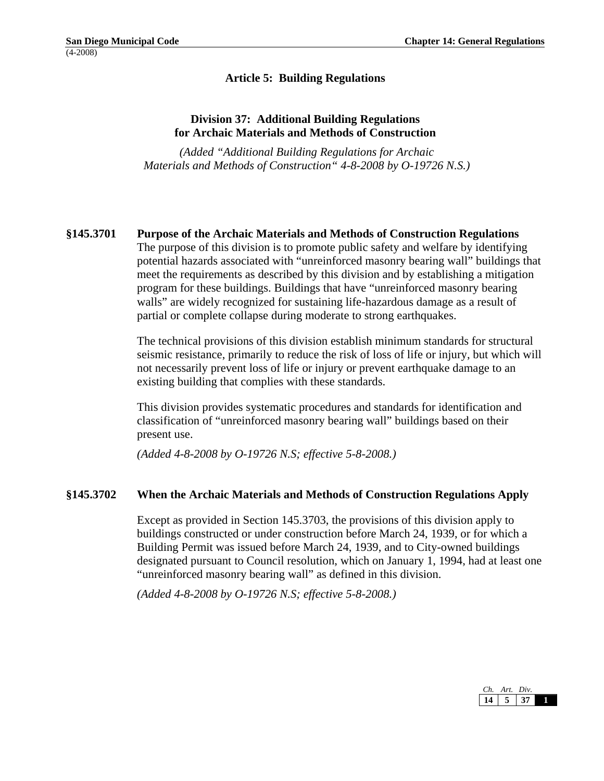# **Article 5: Building Regulations**

# **Division 37: Additional Building Regulations for Archaic Materials and Methods of Construction**

 *(Added "Additional Building Regulations for Archaic Materials and Methods of Construction" 4-8-2008 by O-19726 N.S.)* 

## **§145.3701 Purpose of the Archaic Materials and Methods of Construction Regulations**

The purpose of this division is to promote public safety and welfare by identifying potential hazards associated with "unreinforced masonry bearing wall" buildings that meet the requirements as described by this division and by establishing a mitigation program for these buildings. Buildings that have "unreinforced masonry bearing walls" are widely recognized for sustaining life-hazardous damage as a result of partial or complete collapse during moderate to strong earthquakes.

The technical provisions of this division establish minimum standards for structural seismic resistance, primarily to reduce the risk of loss of life or injury, but which will not necessarily prevent loss of life or injury or prevent earthquake damage to an existing building that complies with these standards.

This division provides systematic procedures and standards for identification and classification of "unreinforced masonry bearing wall" buildings based on their present use.

*(Added 4-8-2008 by O-19726 N.S; effective 5-8-2008.)* 

#### **§145.3702 When the Archaic Materials and Methods of Construction Regulations Apply**

Except as provided in Section 145.3703, the provisions of this division apply to buildings constructed or under construction before March 24, 1939, or for which a Building Permit was issued before March 24, 1939, and to City-owned buildings designated pursuant to Council resolution, which on January 1, 1994, had at least one "unreinforced masonry bearing wall" as defined in this division.

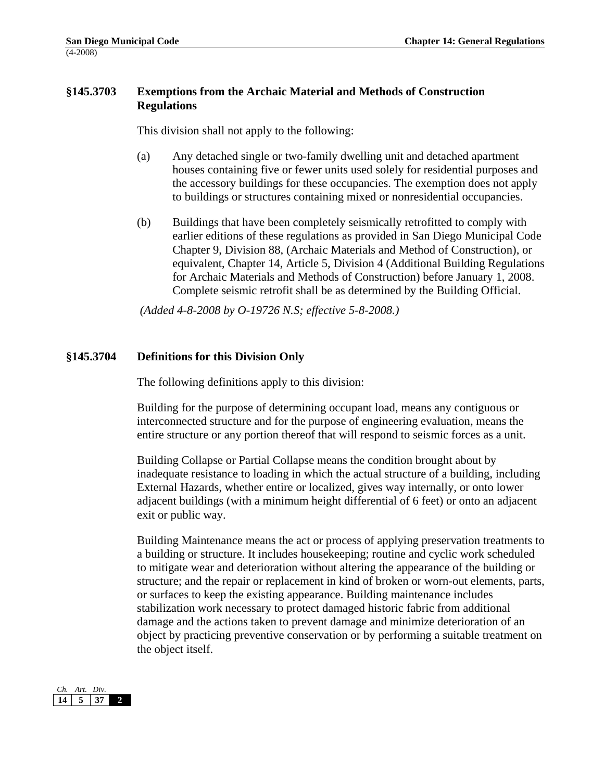## **§145.3703 Exemptions from the Archaic Material and Methods of Construction Regulations**

This division shall not apply to the following:

- (a) Any detached single or two-family dwelling unit and detached apartment houses containing five or fewer units used solely for residential purposes and the accessory buildings for these occupancies. The exemption does not apply to buildings or structures containing mixed or nonresidential occupancies.
- (b) Buildings that have been completely seismically retrofitted to comply with earlier editions of these regulations as provided in San Diego Municipal Code Chapter 9, Division 88, (Archaic Materials and Method of Construction), or equivalent, Chapter 14, Article 5, Division 4 (Additional Building Regulations for Archaic Materials and Methods of Construction) before January 1, 2008. Complete seismic retrofit shall be as determined by the Building Official.

 *(Added 4-8-2008 by O-19726 N.S; effective 5-8-2008.)* 

## **§145.3704 Definitions for this Division Only**

The following definitions apply to this division:

Building for the purpose of determining occupant load, means any contiguous or interconnected structure and for the purpose of engineering evaluation, means the entire structure or any portion thereof that will respond to seismic forces as a unit.

Building Collapse or Partial Collapse means the condition brought about by inadequate resistance to loading in which the actual structure of a building, including External Hazards, whether entire or localized, gives way internally, or onto lower adjacent buildings (with a minimum height differential of 6 feet) or onto an adjacent exit or public way.

Building Maintenance means the act or process of applying preservation treatments to a building or structure. It includes housekeeping; routine and cyclic work scheduled to mitigate wear and deterioration without altering the appearance of the building or structure; and the repair or replacement in kind of broken or worn-out elements, parts, or surfaces to keep the existing appearance. Building maintenance includes stabilization work necessary to protect damaged historic fabric from additional damage and the actions taken to prevent damage and minimize deterioration of an object by practicing preventive conservation or by performing a suitable treatment on the object itself.

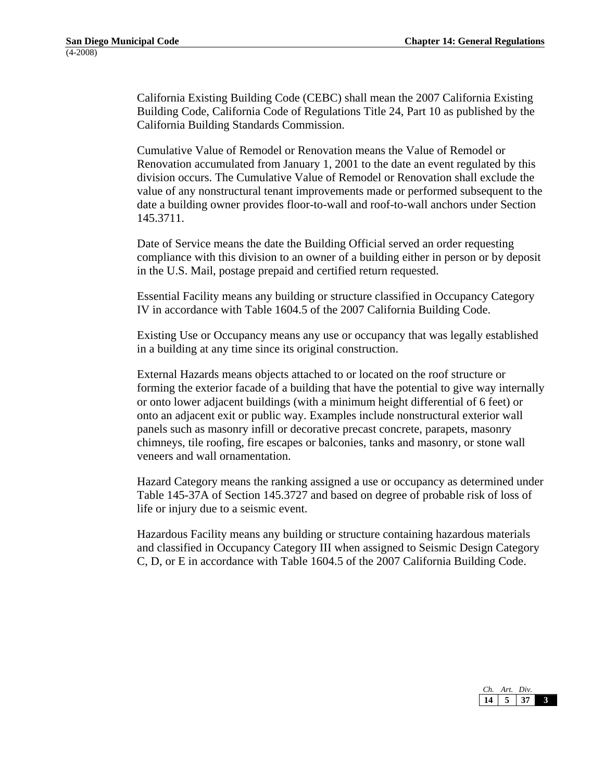California Existing Building Code (CEBC) shall mean the 2007 California Existing Building Code, California Code of Regulations Title 24, Part 10 as published by the California Building Standards Commission.

Cumulative Value of Remodel or Renovation means the Value of Remodel or Renovation accumulated from January 1, 2001 to the date an event regulated by this division occurs. The Cumulative Value of Remodel or Renovation shall exclude the value of any nonstructural tenant improvements made or performed subsequent to the date a building owner provides floor-to-wall and roof-to-wall anchors under Section 145.3711.

Date of Service means the date the Building Official served an order requesting compliance with this division to an owner of a building either in person or by deposit in the U.S. Mail, postage prepaid and certified return requested.

Essential Facility means any building or structure classified in Occupancy Category IV in accordance with Table 1604.5 of the 2007 California Building Code.

Existing Use or Occupancy means any use or occupancy that was legally established in a building at any time since its original construction.

External Hazards means objects attached to or located on the roof structure or forming the exterior facade of a building that have the potential to give way internally or onto lower adjacent buildings (with a minimum height differential of 6 feet) or onto an adjacent exit or public way. Examples include nonstructural exterior wall panels such as masonry infill or decorative precast concrete, parapets, masonry chimneys, tile roofing, fire escapes or balconies, tanks and masonry, or stone wall veneers and wall ornamentation.

Hazard Category means the ranking assigned a use or occupancy as determined under Table 145-37A of Section 145.3727 and based on degree of probable risk of loss of life or injury due to a seismic event.

Hazardous Facility means any building or structure containing hazardous materials and classified in Occupancy Category III when assigned to Seismic Design Category C, D, or E in accordance with Table 1604.5 of the 2007 California Building Code.

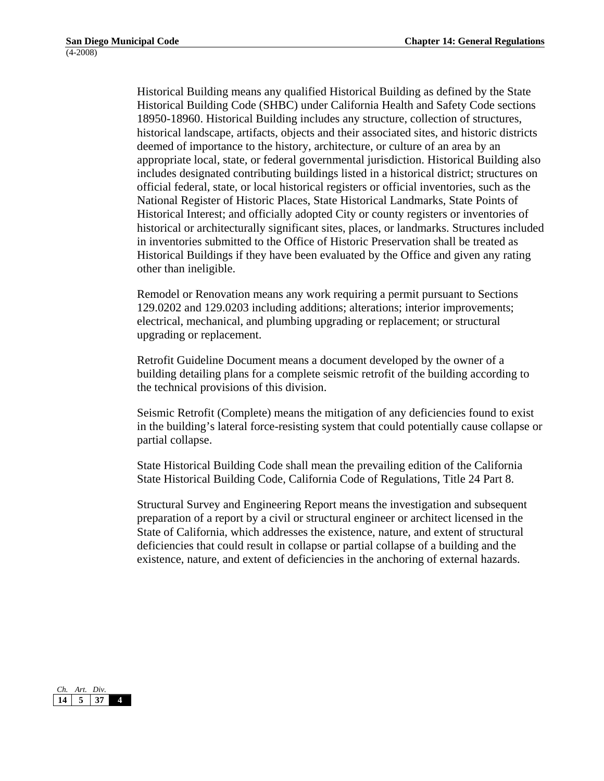Historical Building means any qualified Historical Building as defined by the State Historical Building Code (SHBC) under California Health and Safety Code sections 18950-18960. Historical Building includes any structure, collection of structures, historical landscape, artifacts, objects and their associated sites, and historic districts deemed of importance to the history, architecture, or culture of an area by an appropriate local, state, or federal governmental jurisdiction. Historical Building also includes designated contributing buildings listed in a historical district; structures on official federal, state, or local historical registers or official inventories, such as the National Register of Historic Places, State Historical Landmarks, State Points of Historical Interest; and officially adopted City or county registers or inventories of historical or architecturally significant sites, places, or landmarks. Structures included in inventories submitted to the Office of Historic Preservation shall be treated as Historical Buildings if they have been evaluated by the Office and given any rating other than ineligible.

Remodel or Renovation means any work requiring a permit pursuant to Sections 129.0202 and 129.0203 including additions; alterations; interior improvements; electrical, mechanical, and plumbing upgrading or replacement; or structural upgrading or replacement.

Retrofit Guideline Document means a document developed by the owner of a building detailing plans for a complete seismic retrofit of the building according to the technical provisions of this division.

Seismic Retrofit (Complete) means the mitigation of any deficiencies found to exist in the building's lateral force-resisting system that could potentially cause collapse or partial collapse.

State Historical Building Code shall mean the prevailing edition of the California State Historical Building Code, California Code of Regulations, Title 24 Part 8.

Structural Survey and Engineering Report means the investigation and subsequent preparation of a report by a civil or structural engineer or architect licensed in the State of California, which addresses the existence, nature, and extent of structural deficiencies that could result in collapse or partial collapse of a building and the existence, nature, and extent of deficiencies in the anchoring of external hazards.

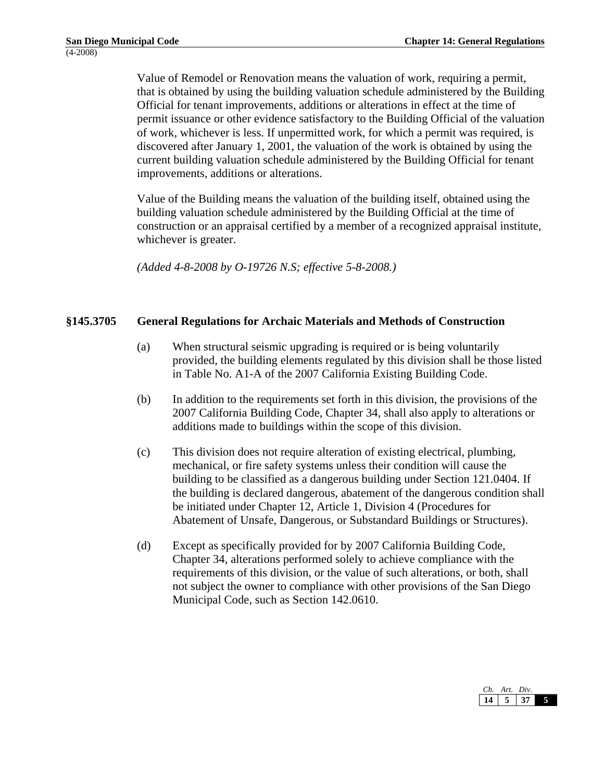Value of Remodel or Renovation means the valuation of work, requiring a permit, that is obtained by using the building valuation schedule administered by the Building Official for tenant improvements, additions or alterations in effect at the time of permit issuance or other evidence satisfactory to the Building Official of the valuation of work, whichever is less. If unpermitted work, for which a permit was required, is discovered after January 1, 2001, the valuation of the work is obtained by using the current building valuation schedule administered by the Building Official for tenant improvements, additions or alterations.

Value of the Building means the valuation of the building itself, obtained using the building valuation schedule administered by the Building Official at the time of construction or an appraisal certified by a member of a recognized appraisal institute, whichever is greater.

*(Added 4-8-2008 by O-19726 N.S; effective 5-8-2008.)* 

## **§145.3705 General Regulations for Archaic Materials and Methods of Construction**

- (a) When structural seismic upgrading is required or is being voluntarily provided, the building elements regulated by this division shall be those listed in Table No. A1-A of the 2007 California Existing Building Code.
- (b) In addition to the requirements set forth in this division, the provisions of the 2007 California Building Code, Chapter 34, shall also apply to alterations or additions made to buildings within the scope of this division.
- (c) This division does not require alteration of existing electrical, plumbing, mechanical, or fire safety systems unless their condition will cause the building to be classified as a dangerous building under Section 121.0404. If the building is declared dangerous, abatement of the dangerous condition shall be initiated under Chapter 12, Article 1, Division 4 (Procedures for Abatement of Unsafe, Dangerous, or Substandard Buildings or Structures).
- (d) Except as specifically provided for by 2007 California Building Code, Chapter 34, alterations performed solely to achieve compliance with the requirements of this division, or the value of such alterations, or both, shall not subject the owner to compliance with other provisions of the San Diego Municipal Code, such as Section 142.0610.

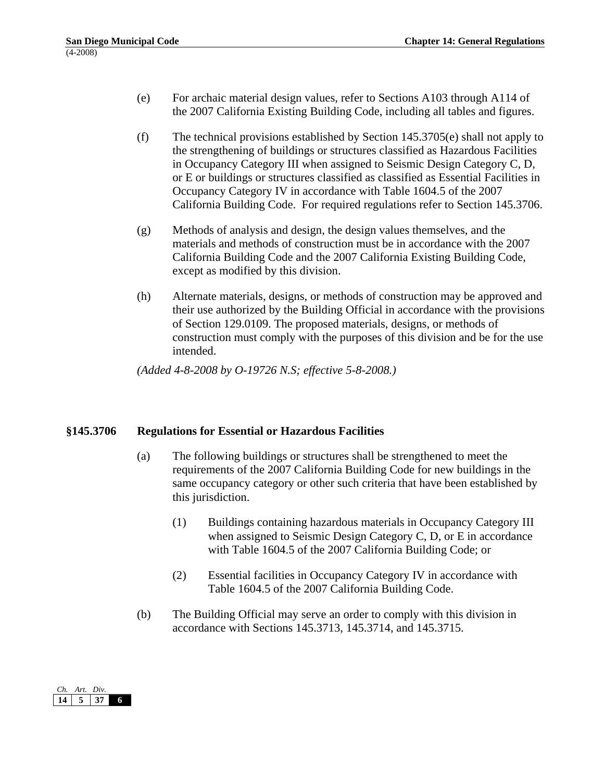- (e) For archaic material design values, refer to Sections A103 through A114 of the 2007 California Existing Building Code, including all tables and figures.
- (f) The technical provisions established by Section  $145.3705(e)$  shall not apply to the strengthening of buildings or structures classified as Hazardous Facilities in Occupancy Category III when assigned to Seismic Design Category C, D, or E or buildings or structures classified as classified as Essential Facilities in Occupancy Category IV in accordance with Table 1604.5 of the 2007 California Building Code. For required regulations refer to Section 145.3706.
- (g) Methods of analysis and design, the design values themselves, and the materials and methods of construction must be in accordance with the 2007 California Building Code and the 2007 California Existing Building Code, except as modified by this division.
- (h) Alternate materials, designs, or methods of construction may be approved and their use authorized by the Building Official in accordance with the provisions of Section 129.0109. The proposed materials, designs, or methods of construction must comply with the purposes of this division and be for the use intended.

## **§145.3706 Regulations for Essential or Hazardous Facilities**

- (a) The following buildings or structures shall be strengthened to meet the requirements of the 2007 California Building Code for new buildings in the same occupancy category or other such criteria that have been established by this jurisdiction.
	- (1) Buildings containing hazardous materials in Occupancy Category III when assigned to Seismic Design Category C, D, or E in accordance with Table 1604.5 of the 2007 California Building Code; or
	- (2) Essential facilities in Occupancy Category IV in accordance with Table 1604.5 of the 2007 California Building Code.
- (b) The Building Official may serve an order to comply with this division in accordance with Sections 145.3713, 145.3714, and 145.3715.

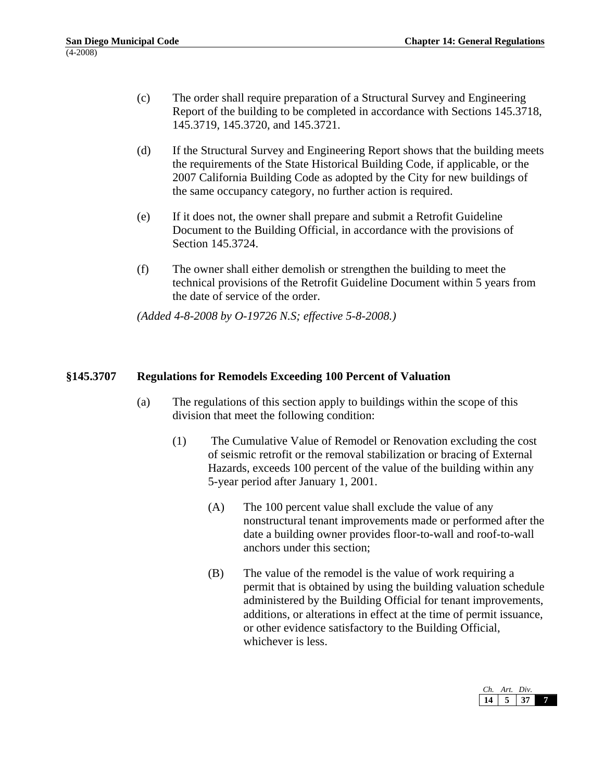- (c) The order shall require preparation of a Structural Survey and Engineering Report of the building to be completed in accordance with Sections 145.3718, 145.3719, 145.3720, and 145.3721.
- (d) If the Structural Survey and Engineering Report shows that the building meets the requirements of the State Historical Building Code, if applicable, or the 2007 California Building Code as adopted by the City for new buildings of the same occupancy category, no further action is required.
- (e) If it does not, the owner shall prepare and submit a Retrofit Guideline Document to the Building Official, in accordance with the provisions of Section 145.3724.
- (f) The owner shall either demolish or strengthen the building to meet the technical provisions of the Retrofit Guideline Document within 5 years from the date of service of the order.

## **§145.3707 Regulations for Remodels Exceeding 100 Percent of Valuation**

- (a) The regulations of this section apply to buildings within the scope of this division that meet the following condition:
	- (1) The Cumulative Value of Remodel or Renovation excluding the cost of seismic retrofit or the removal stabilization or bracing of External Hazards, exceeds 100 percent of the value of the building within any 5-year period after January 1, 2001.
		- (A) The 100 percent value shall exclude the value of any nonstructural tenant improvements made or performed after the date a building owner provides floor-to-wall and roof-to-wall anchors under this section;
		- (B) The value of the remodel is the value of work requiring a permit that is obtained by using the building valuation schedule administered by the Building Official for tenant improvements, additions, or alterations in effect at the time of permit issuance, or other evidence satisfactory to the Building Official, whichever is less.

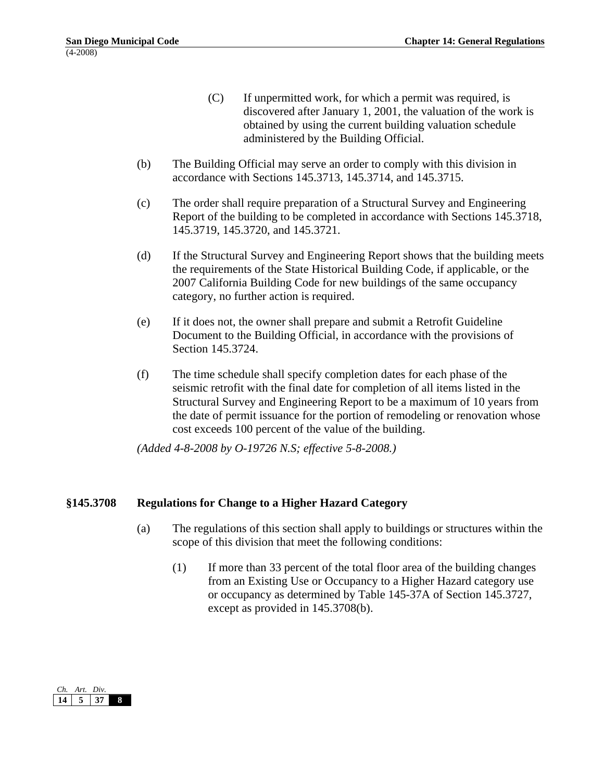- (C) If unpermitted work, for which a permit was required, is discovered after January 1, 2001, the valuation of the work is obtained by using the current building valuation schedule administered by the Building Official.
- (b) The Building Official may serve an order to comply with this division in accordance with Sections 145.3713, 145.3714, and 145.3715.
- (c) The order shall require preparation of a Structural Survey and Engineering Report of the building to be completed in accordance with Sections 145.3718, 145.3719, 145.3720, and 145.3721.
- (d) If the Structural Survey and Engineering Report shows that the building meets the requirements of the State Historical Building Code, if applicable, or the 2007 California Building Code for new buildings of the same occupancy category, no further action is required.
- (e) If it does not, the owner shall prepare and submit a Retrofit Guideline Document to the Building Official, in accordance with the provisions of Section 145.3724.
- (f) The time schedule shall specify completion dates for each phase of the seismic retrofit with the final date for completion of all items listed in the Structural Survey and Engineering Report to be a maximum of 10 years from the date of permit issuance for the portion of remodeling or renovation whose cost exceeds 100 percent of the value of the building.

## **§145.3708 Regulations for Change to a Higher Hazard Category**

- (a) The regulations of this section shall apply to buildings or structures within the scope of this division that meet the following conditions:
	- (1) If more than 33 percent of the total floor area of the building changes from an Existing Use or Occupancy to a Higher Hazard category use or occupancy as determined by Table 145-37A of Section 145.3727, except as provided in 145.3708(b).

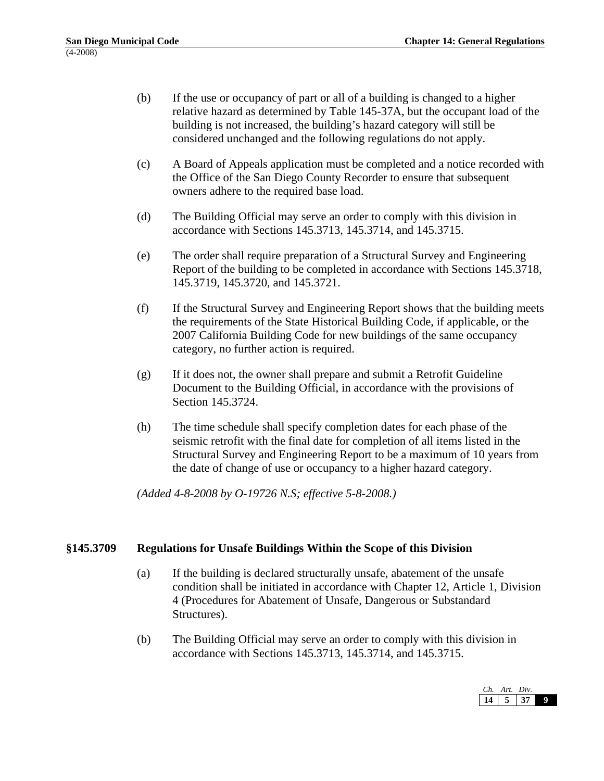- (b) If the use or occupancy of part or all of a building is changed to a higher relative hazard as determined by Table 145-37A, but the occupant load of the building is not increased, the building's hazard category will still be considered unchanged and the following regulations do not apply.
- (c) A Board of Appeals application must be completed and a notice recorded with the Office of the San Diego County Recorder to ensure that subsequent owners adhere to the required base load.
- (d) The Building Official may serve an order to comply with this division in accordance with Sections 145.3713, 145.3714, and 145.3715.
- (e) The order shall require preparation of a Structural Survey and Engineering Report of the building to be completed in accordance with Sections 145.3718, 145.3719, 145.3720, and 145.3721.
- (f) If the Structural Survey and Engineering Report shows that the building meets the requirements of the State Historical Building Code, if applicable, or the 2007 California Building Code for new buildings of the same occupancy category, no further action is required.
- (g) If it does not, the owner shall prepare and submit a Retrofit Guideline Document to the Building Official, in accordance with the provisions of Section 145.3724.
- (h) The time schedule shall specify completion dates for each phase of the seismic retrofit with the final date for completion of all items listed in the Structural Survey and Engineering Report to be a maximum of 10 years from the date of change of use or occupancy to a higher hazard category.

## **§145.3709 Regulations for Unsafe Buildings Within the Scope of this Division**

- (a) If the building is declared structurally unsafe, abatement of the unsafe condition shall be initiated in accordance with Chapter 12, Article 1, Division 4 (Procedures for Abatement of Unsafe, Dangerous or Substandard Structures).
- (b) The Building Official may serve an order to comply with this division in accordance with Sections 145.3713, 145.3714, and 145.3715.

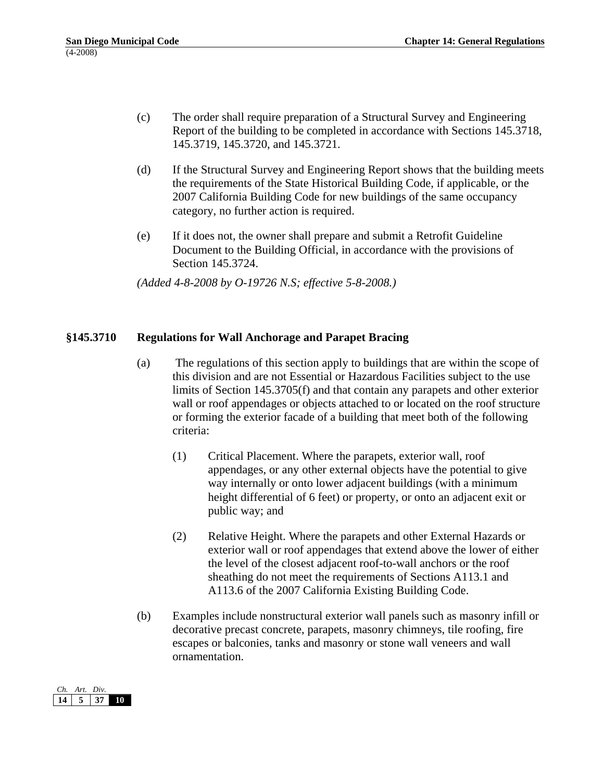- (c) The order shall require preparation of a Structural Survey and Engineering Report of the building to be completed in accordance with Sections 145.3718, 145.3719, 145.3720, and 145.3721.
- (d) If the Structural Survey and Engineering Report shows that the building meets the requirements of the State Historical Building Code, if applicable, or the 2007 California Building Code for new buildings of the same occupancy category, no further action is required.
- (e) If it does not, the owner shall prepare and submit a Retrofit Guideline Document to the Building Official, in accordance with the provisions of Section 145.3724.

#### **§145.3710 Regulations for Wall Anchorage and Parapet Bracing**

- (a) The regulations of this section apply to buildings that are within the scope of this division and are not Essential or Hazardous Facilities subject to the use limits of Section 145.3705(f) and that contain any parapets and other exterior wall or roof appendages or objects attached to or located on the roof structure or forming the exterior facade of a building that meet both of the following criteria:
	- (1) Critical Placement. Where the parapets, exterior wall, roof appendages, or any other external objects have the potential to give way internally or onto lower adjacent buildings (with a minimum height differential of 6 feet) or property, or onto an adjacent exit or public way; and
	- (2) Relative Height. Where the parapets and other External Hazards or exterior wall or roof appendages that extend above the lower of either the level of the closest adjacent roof-to-wall anchors or the roof sheathing do not meet the requirements of Sections A113.1 and A113.6 of the 2007 California Existing Building Code.
- (b) Examples include nonstructural exterior wall panels such as masonry infill or decorative precast concrete, parapets, masonry chimneys, tile roofing, fire escapes or balconies, tanks and masonry or stone wall veneers and wall ornamentation.

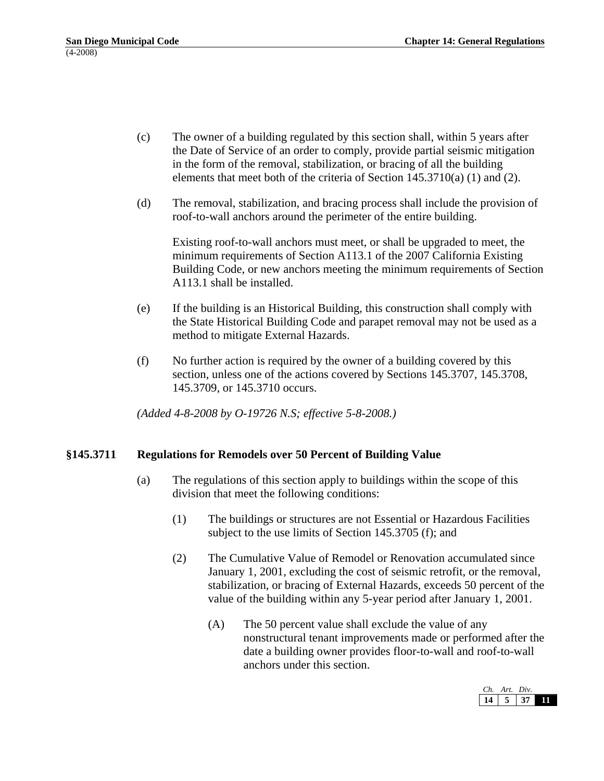- (c) The owner of a building regulated by this section shall, within 5 years after the Date of Service of an order to comply, provide partial seismic mitigation in the form of the removal, stabilization, or bracing of all the building elements that meet both of the criteria of Section 145.3710(a) (1) and (2).
- (d) The removal, stabilization, and bracing process shall include the provision of roof-to-wall anchors around the perimeter of the entire building.

Existing roof-to-wall anchors must meet, or shall be upgraded to meet, the minimum requirements of Section A113.1 of the 2007 California Existing Building Code, or new anchors meeting the minimum requirements of Section A113.1 shall be installed.

- (e) If the building is an Historical Building, this construction shall comply with the State Historical Building Code and parapet removal may not be used as a method to mitigate External Hazards.
- (f) No further action is required by the owner of a building covered by this section, unless one of the actions covered by Sections 145.3707, 145.3708, 145.3709, or 145.3710 occurs.

*(Added 4-8-2008 by O-19726 N.S; effective 5-8-2008.)* 

## **§145.3711 Regulations for Remodels over 50 Percent of Building Value**

- (a) The regulations of this section apply to buildings within the scope of this division that meet the following conditions:
	- (1) The buildings or structures are not Essential or Hazardous Facilities subject to the use limits of Section 145.3705 (f); and
	- (2) The Cumulative Value of Remodel or Renovation accumulated since January 1, 2001, excluding the cost of seismic retrofit, or the removal, stabilization, or bracing of External Hazards, exceeds 50 percent of the value of the building within any 5-year period after January 1, 2001.
		- (A) The 50 percent value shall exclude the value of any nonstructural tenant improvements made or performed after the date a building owner provides floor-to-wall and roof-to-wall anchors under this section.

| Art. | Div. |  |
|------|------|--|
|      |      |  |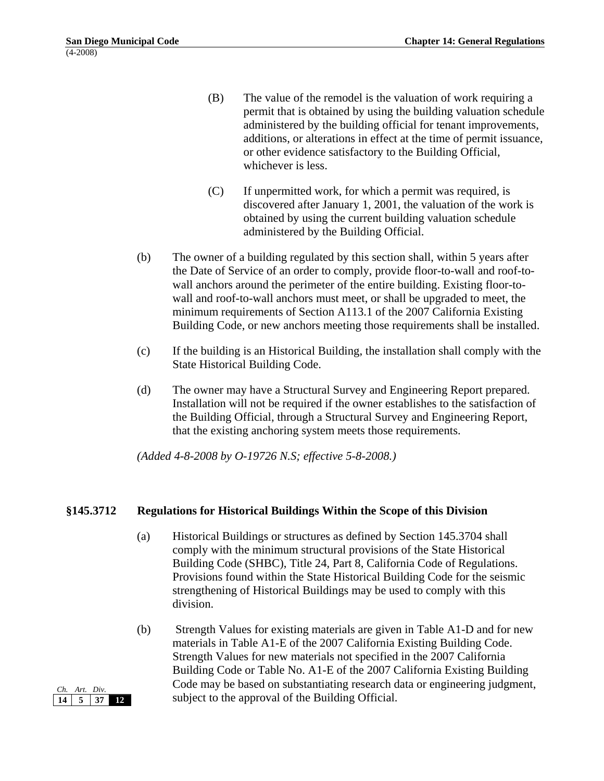- (B) The value of the remodel is the valuation of work requiring a permit that is obtained by using the building valuation schedule administered by the building official for tenant improvements, additions, or alterations in effect at the time of permit issuance, or other evidence satisfactory to the Building Official, whichever is less.
- (C) If unpermitted work, for which a permit was required, is discovered after January 1, 2001, the valuation of the work is obtained by using the current building valuation schedule administered by the Building Official.
- (b) The owner of a building regulated by this section shall, within 5 years after the Date of Service of an order to comply, provide floor-to-wall and roof-towall anchors around the perimeter of the entire building. Existing floor-towall and roof-to-wall anchors must meet, or shall be upgraded to meet, the minimum requirements of Section A113.1 of the 2007 California Existing Building Code, or new anchors meeting those requirements shall be installed.
- (c) If the building is an Historical Building, the installation shall comply with the State Historical Building Code.
- (d) The owner may have a Structural Survey and Engineering Report prepared. Installation will not be required if the owner establishes to the satisfaction of the Building Official, through a Structural Survey and Engineering Report, that the existing anchoring system meets those requirements.

## **§145.3712 Regulations for Historical Buildings Within the Scope of this Division**

- (a) Historical Buildings or structures as defined by Section 145.3704 shall comply with the minimum structural provisions of the State Historical Building Code (SHBC), Title 24, Part 8, California Code of Regulations. Provisions found within the State Historical Building Code for the seismic strengthening of Historical Buildings may be used to comply with this division.
- (b) Strength Values for existing materials are given in Table A1-D and for new materials in Table A1-E of the 2007 California Existing Building Code. Strength Values for new materials not specified in the 2007 California Building Code or Table No. A1-E of the 2007 California Existing Building Code may be based on substantiating research data or engineering judgment, subject to the approval of the Building Official.

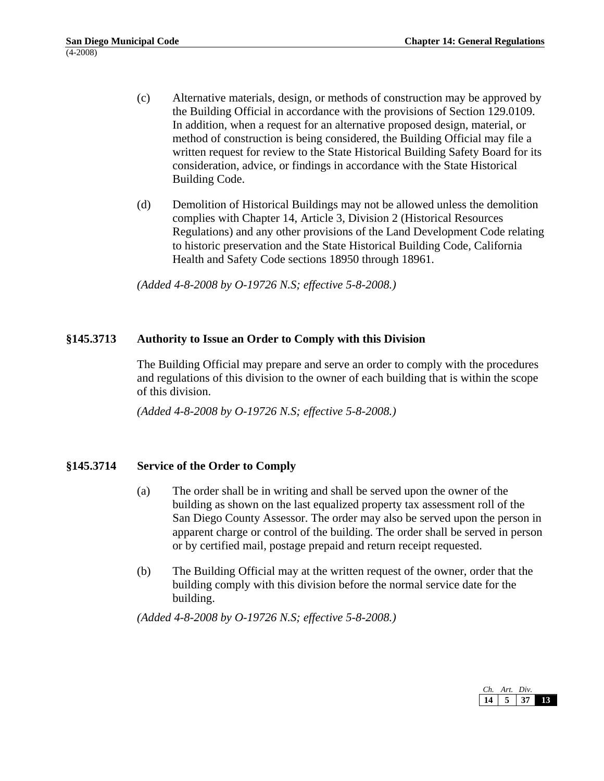- (c) Alternative materials, design, or methods of construction may be approved by the Building Official in accordance with the provisions of Section 129.0109. In addition, when a request for an alternative proposed design, material, or method of construction is being considered, the Building Official may file a written request for review to the State Historical Building Safety Board for its consideration, advice, or findings in accordance with the State Historical Building Code.
- (d) Demolition of Historical Buildings may not be allowed unless the demolition complies with Chapter 14, Article 3, Division 2 (Historical Resources Regulations) and any other provisions of the Land Development Code relating to historic preservation and the State Historical Building Code, California Health and Safety Code sections 18950 through 18961.

## **§145.3713 Authority to Issue an Order to Comply with this Division**

The Building Official may prepare and serve an order to comply with the procedures and regulations of this division to the owner of each building that is within the scope of this division.

*(Added 4-8-2008 by O-19726 N.S; effective 5-8-2008.)* 

## **§145.3714 Service of the Order to Comply**

- (a) The order shall be in writing and shall be served upon the owner of the building as shown on the last equalized property tax assessment roll of the San Diego County Assessor. The order may also be served upon the person in apparent charge or control of the building. The order shall be served in person or by certified mail, postage prepaid and return receipt requested.
- (b) The Building Official may at the written request of the owner, order that the building comply with this division before the normal service date for the building.

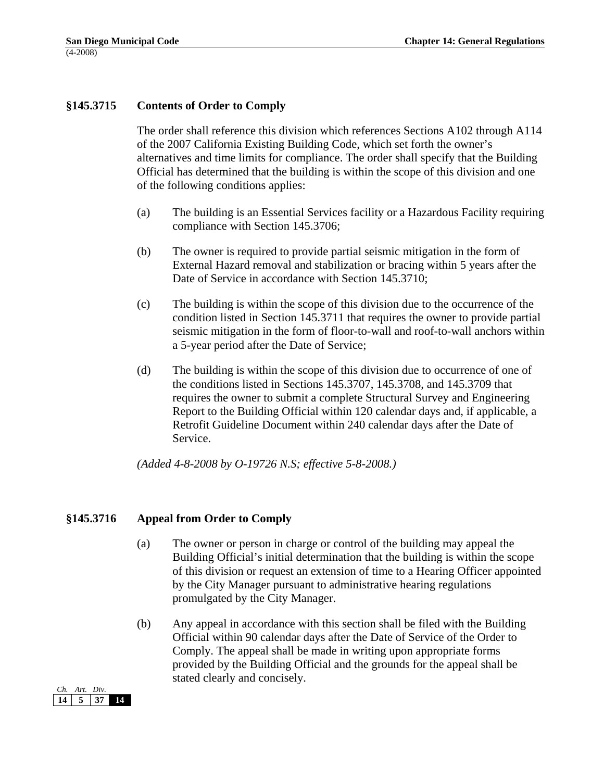## **§145.3715 Contents of Order to Comply**

The order shall reference this division which references Sections A102 through A114 of the 2007 California Existing Building Code, which set forth the owner's alternatives and time limits for compliance. The order shall specify that the Building Official has determined that the building is within the scope of this division and one of the following conditions applies:

- (a) The building is an Essential Services facility or a Hazardous Facility requiring compliance with Section 145.3706;
- (b) The owner is required to provide partial seismic mitigation in the form of External Hazard removal and stabilization or bracing within 5 years after the Date of Service in accordance with Section 145.3710;
- (c) The building is within the scope of this division due to the occurrence of the condition listed in Section 145.3711 that requires the owner to provide partial seismic mitigation in the form of floor-to-wall and roof-to-wall anchors within a 5-year period after the Date of Service;
- (d) The building is within the scope of this division due to occurrence of one of the conditions listed in Sections 145.3707, 145.3708, and 145.3709 that requires the owner to submit a complete Structural Survey and Engineering Report to the Building Official within 120 calendar days and, if applicable, a Retrofit Guideline Document within 240 calendar days after the Date of Service.

*(Added 4-8-2008 by O-19726 N.S; effective 5-8-2008.)* 

## **§145.3716 Appeal from Order to Comply**

- (a) The owner or person in charge or control of the building may appeal the Building Official's initial determination that the building is within the scope of this division or request an extension of time to a Hearing Officer appointed by the City Manager pursuant to administrative hearing regulations promulgated by the City Manager.
- (b) Any appeal in accordance with this section shall be filed with the Building Official within 90 calendar days after the Date of Service of the Order to Comply. The appeal shall be made in writing upon appropriate forms provided by the Building Official and the grounds for the appeal shall be stated clearly and concisely.

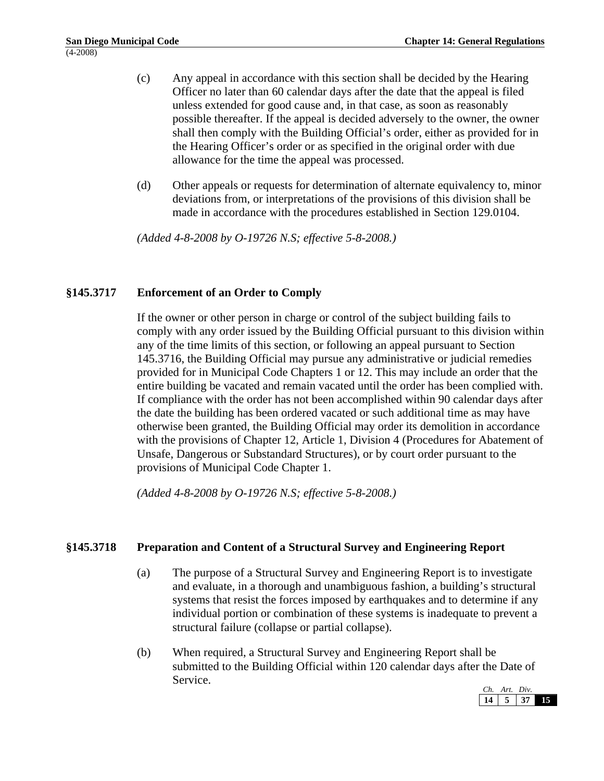- (c) Any appeal in accordance with this section shall be decided by the Hearing Officer no later than 60 calendar days after the date that the appeal is filed unless extended for good cause and, in that case, as soon as reasonably possible thereafter. If the appeal is decided adversely to the owner, the owner shall then comply with the Building Official's order, either as provided for in the Hearing Officer's order or as specified in the original order with due allowance for the time the appeal was processed.
- (d) Other appeals or requests for determination of alternate equivalency to, minor deviations from, or interpretations of the provisions of this division shall be made in accordance with the procedures established in Section 129.0104.

## **§145.3717 Enforcement of an Order to Comply**

If the owner or other person in charge or control of the subject building fails to comply with any order issued by the Building Official pursuant to this division within any of the time limits of this section, or following an appeal pursuant to Section 145.3716, the Building Official may pursue any administrative or judicial remedies provided for in Municipal Code Chapters 1 or 12. This may include an order that the entire building be vacated and remain vacated until the order has been complied with. If compliance with the order has not been accomplished within 90 calendar days after the date the building has been ordered vacated or such additional time as may have otherwise been granted, the Building Official may order its demolition in accordance with the provisions of Chapter 12, Article 1, Division 4 (Procedures for Abatement of Unsafe, Dangerous or Substandard Structures), or by court order pursuant to the provisions of Municipal Code Chapter 1.

*(Added 4-8-2008 by O-19726 N.S; effective 5-8-2008.)* 

## **§145.3718 Preparation and Content of a Structural Survey and Engineering Report**

- (a) The purpose of a Structural Survey and Engineering Report is to investigate and evaluate, in a thorough and unambiguous fashion, a building's structural systems that resist the forces imposed by earthquakes and to determine if any individual portion or combination of these systems is inadequate to prevent a structural failure (collapse or partial collapse).
- (b) When required, a Structural Survey and Engineering Report shall be submitted to the Building Official within 120 calendar days after the Date of Service.

| Art. | Div. |  |
|------|------|--|
|      |      |  |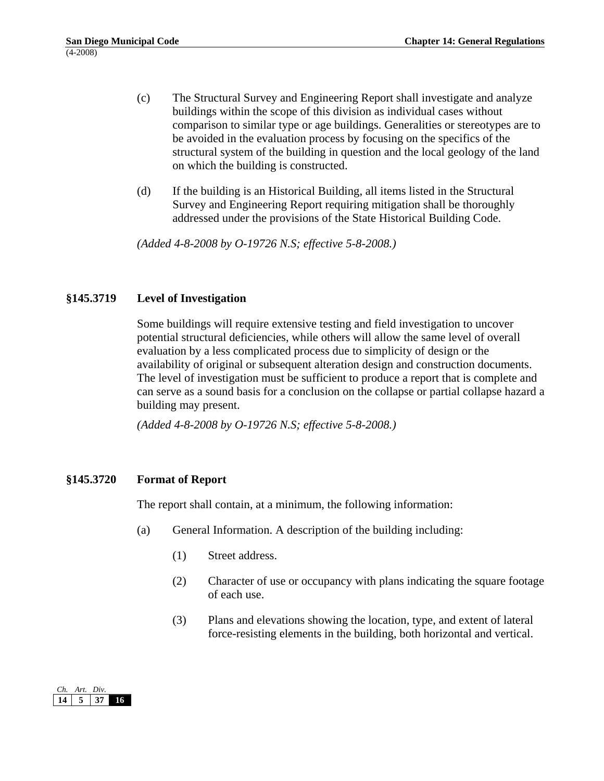- (c) The Structural Survey and Engineering Report shall investigate and analyze buildings within the scope of this division as individual cases without comparison to similar type or age buildings. Generalities or stereotypes are to be avoided in the evaluation process by focusing on the specifics of the structural system of the building in question and the local geology of the land on which the building is constructed.
- (d) If the building is an Historical Building, all items listed in the Structural Survey and Engineering Report requiring mitigation shall be thoroughly addressed under the provisions of the State Historical Building Code.

## **§145.3719 Level of Investigation**

Some buildings will require extensive testing and field investigation to uncover potential structural deficiencies, while others will allow the same level of overall evaluation by a less complicated process due to simplicity of design or the availability of original or subsequent alteration design and construction documents. The level of investigation must be sufficient to produce a report that is complete and can serve as a sound basis for a conclusion on the collapse or partial collapse hazard a building may present.

*(Added 4-8-2008 by O-19726 N.S; effective 5-8-2008.)* 

## **§145.3720 Format of Report**

The report shall contain, at a minimum, the following information:

- (a) General Information. A description of the building including:
	- (1) Street address.
	- (2) Character of use or occupancy with plans indicating the square footage of each use.
	- (3) Plans and elevations showing the location, type, and extent of lateral force-resisting elements in the building, both horizontal and vertical.

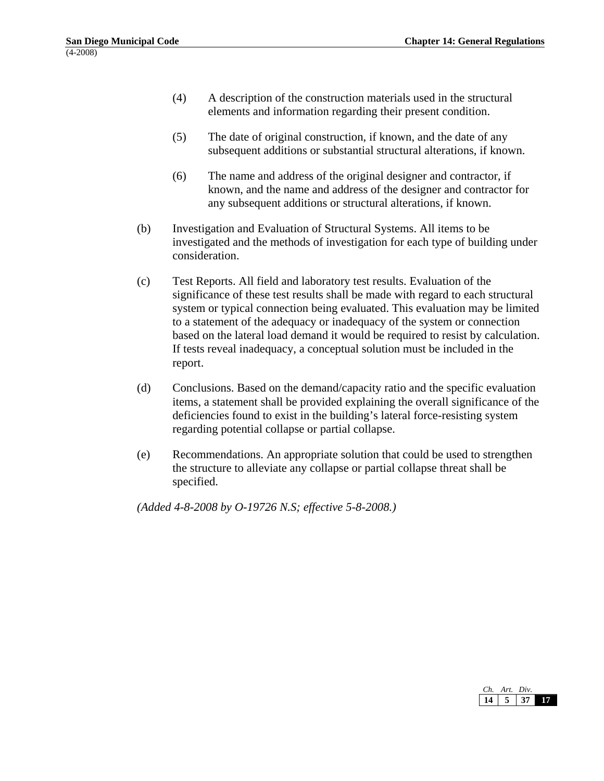- (4) A description of the construction materials used in the structural elements and information regarding their present condition.
- (5) The date of original construction, if known, and the date of any subsequent additions or substantial structural alterations, if known.
- (6) The name and address of the original designer and contractor, if known, and the name and address of the designer and contractor for any subsequent additions or structural alterations, if known.
- (b) Investigation and Evaluation of Structural Systems. All items to be investigated and the methods of investigation for each type of building under consideration.
- (c) Test Reports. All field and laboratory test results. Evaluation of the significance of these test results shall be made with regard to each structural system or typical connection being evaluated. This evaluation may be limited to a statement of the adequacy or inadequacy of the system or connection based on the lateral load demand it would be required to resist by calculation. If tests reveal inadequacy, a conceptual solution must be included in the report.
- (d) Conclusions. Based on the demand/capacity ratio and the specific evaluation items, a statement shall be provided explaining the overall significance of the deficiencies found to exist in the building's lateral force-resisting system regarding potential collapse or partial collapse.
- (e) Recommendations. An appropriate solution that could be used to strengthen the structure to alleviate any collapse or partial collapse threat shall be specified.

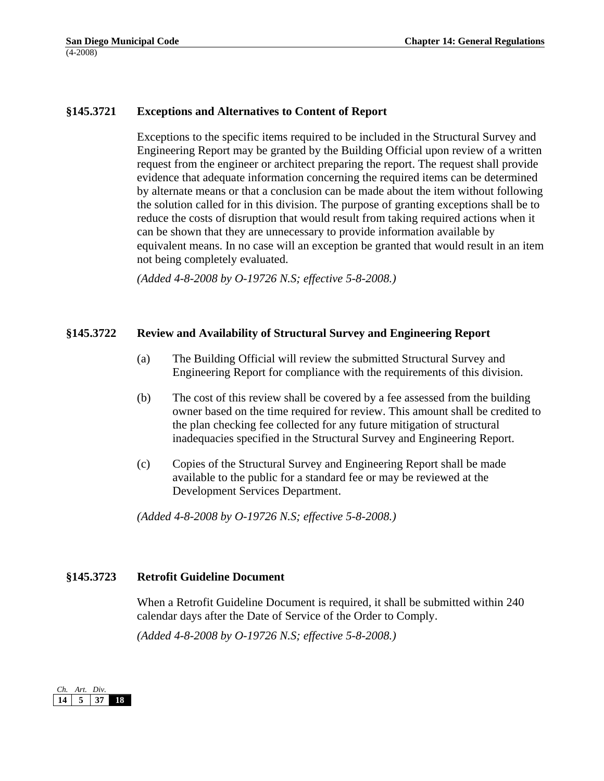## **§145.3721 Exceptions and Alternatives to Content of Report**

Exceptions to the specific items required to be included in the Structural Survey and Engineering Report may be granted by the Building Official upon review of a written request from the engineer or architect preparing the report. The request shall provide evidence that adequate information concerning the required items can be determined by alternate means or that a conclusion can be made about the item without following the solution called for in this division. The purpose of granting exceptions shall be to reduce the costs of disruption that would result from taking required actions when it can be shown that they are unnecessary to provide information available by equivalent means. In no case will an exception be granted that would result in an item not being completely evaluated.

*(Added 4-8-2008 by O-19726 N.S; effective 5-8-2008.)* 

#### **§145.3722 Review and Availability of Structural Survey and Engineering Report**

- (a) The Building Official will review the submitted Structural Survey and Engineering Report for compliance with the requirements of this division.
- (b) The cost of this review shall be covered by a fee assessed from the building owner based on the time required for review. This amount shall be credited to the plan checking fee collected for any future mitigation of structural inadequacies specified in the Structural Survey and Engineering Report.
- (c) Copies of the Structural Survey and Engineering Report shall be made available to the public for a standard fee or may be reviewed at the Development Services Department.

*(Added 4-8-2008 by O-19726 N.S; effective 5-8-2008.)* 

## **§145.3723 Retrofit Guideline Document**

When a Retrofit Guideline Document is required, it shall be submitted within 240 calendar days after the Date of Service of the Order to Comply.

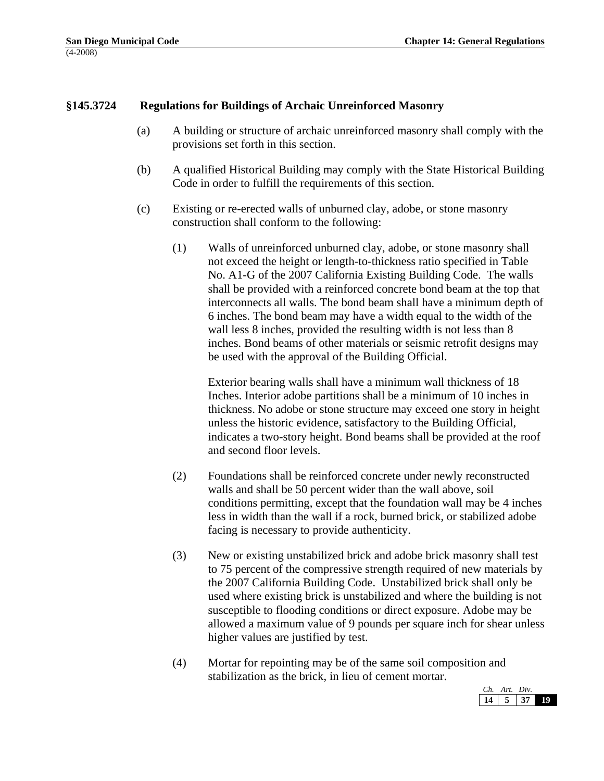## **§145.3724 Regulations for Buildings of Archaic Unreinforced Masonry**

- (a) A building or structure of archaic unreinforced masonry shall comply with the provisions set forth in this section.
- (b) A qualified Historical Building may comply with the State Historical Building Code in order to fulfill the requirements of this section.
- (c) Existing or re-erected walls of unburned clay, adobe, or stone masonry construction shall conform to the following:
	- (1) Walls of unreinforced unburned clay, adobe, or stone masonry shall not exceed the height or length-to-thickness ratio specified in Table No. A1-G of the 2007 California Existing Building Code. The walls shall be provided with a reinforced concrete bond beam at the top that interconnects all walls. The bond beam shall have a minimum depth of 6 inches. The bond beam may have a width equal to the width of the wall less 8 inches, provided the resulting width is not less than 8 inches. Bond beams of other materials or seismic retrofit designs may be used with the approval of the Building Official.

Exterior bearing walls shall have a minimum wall thickness of 18 Inches. Interior adobe partitions shall be a minimum of 10 inches in thickness. No adobe or stone structure may exceed one story in height unless the historic evidence, satisfactory to the Building Official, indicates a two-story height. Bond beams shall be provided at the roof and second floor levels.

- (2) Foundations shall be reinforced concrete under newly reconstructed walls and shall be 50 percent wider than the wall above, soil conditions permitting, except that the foundation wall may be 4 inches less in width than the wall if a rock, burned brick, or stabilized adobe facing is necessary to provide authenticity.
- (3) New or existing unstabilized brick and adobe brick masonry shall test to 75 percent of the compressive strength required of new materials by the 2007 California Building Code. Unstabilized brick shall only be used where existing brick is unstabilized and where the building is not susceptible to flooding conditions or direct exposure. Adobe may be allowed a maximum value of 9 pounds per square inch for shear unless higher values are justified by test.
- (4) Mortar for repointing may be of the same soil composition and stabilization as the brick, in lieu of cement mortar.

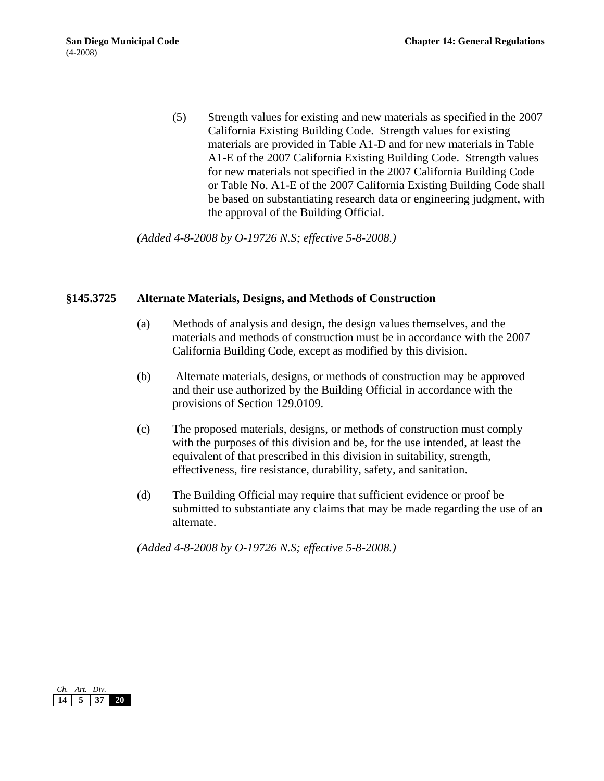(5) Strength values for existing and new materials as specified in the 2007 California Existing Building Code. Strength values for existing materials are provided in Table A1-D and for new materials in Table A1-E of the 2007 California Existing Building Code. Strength values for new materials not specified in the 2007 California Building Code or Table No. A1-E of the 2007 California Existing Building Code shall be based on substantiating research data or engineering judgment, with the approval of the Building Official.

*(Added 4-8-2008 by O-19726 N.S; effective 5-8-2008.)* 

#### **§145.3725 Alternate Materials, Designs, and Methods of Construction**

- (a) Methods of analysis and design, the design values themselves, and the materials and methods of construction must be in accordance with the 2007 California Building Code, except as modified by this division.
- (b) Alternate materials, designs, or methods of construction may be approved and their use authorized by the Building Official in accordance with the provisions of Section 129.0109.
- (c) The proposed materials, designs, or methods of construction must comply with the purposes of this division and be, for the use intended, at least the equivalent of that prescribed in this division in suitability, strength, effectiveness, fire resistance, durability, safety, and sanitation.
- (d) The Building Official may require that sufficient evidence or proof be submitted to substantiate any claims that may be made regarding the use of an alternate.